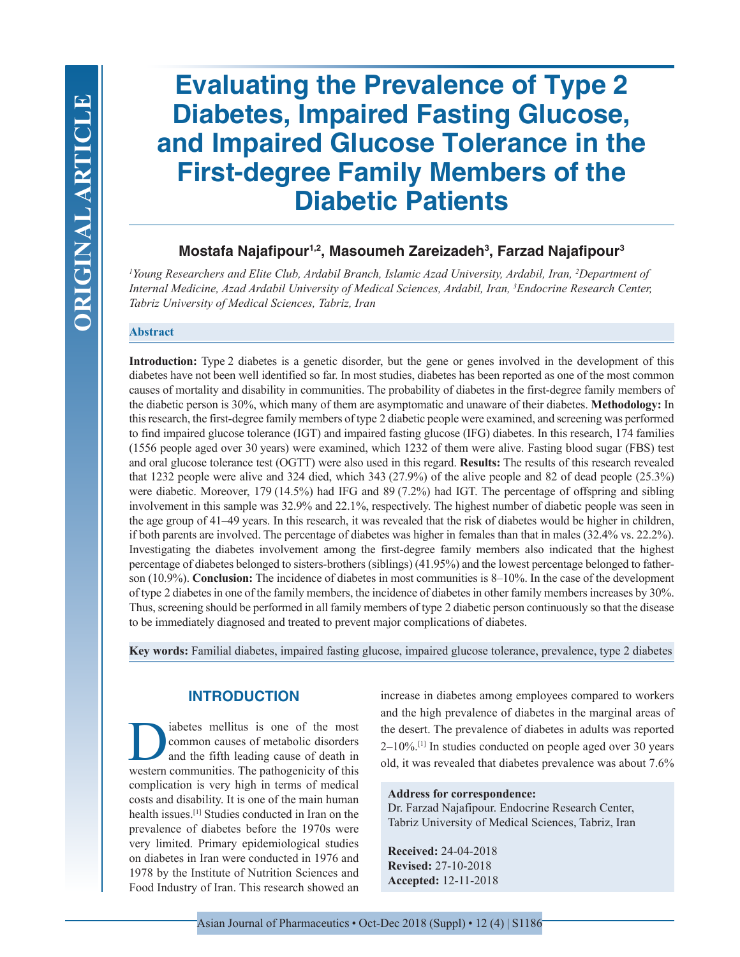# **Evaluating the Prevalence of Type 2 Diabetes, Impaired Fasting Glucose, and Impaired Glucose Tolerance in the First-degree Family Members of the Diabetic Patients**

# **Mostafa Najafipour1,2, Masoumeh Zareizadeh3 , Farzad Najafipour3**

<sup>1</sup> Young Researchers and Elite Club, Ardabil Branch, Islamic Azad University, Ardabil, Iran, <sup>2</sup>Department of *Internal Medicine, Azad Ardabil University of Medical Sciences, Ardabil, Iran, 3 Endocrine Research Center, Tabriz University of Medical Sciences, Tabriz, Iran*

#### **Abstract**

**Introduction:** Type 2 diabetes is a genetic disorder, but the gene or genes involved in the development of this diabetes have not been well identified so far. In most studies, diabetes has been reported as one of the most common causes of mortality and disability in communities. The probability of diabetes in the first-degree family members of the diabetic person is 30%, which many of them are asymptomatic and unaware of their diabetes. **Methodology:** In this research, the first-degree family members of type 2 diabetic people were examined, and screening was performed to find impaired glucose tolerance (IGT) and impaired fasting glucose (IFG) diabetes. In this research, 174 families (1556 people aged over 30 years) were examined, which 1232 of them were alive. Fasting blood sugar (FBS) test and oral glucose tolerance test (OGTT) were also used in this regard. **Results:** The results of this research revealed that 1232 people were alive and 324 died, which 343 (27.9%) of the alive people and 82 of dead people (25.3%) were diabetic. Moreover, 179 (14.5%) had IFG and 89 (7.2%) had IGT. The percentage of offspring and sibling involvement in this sample was 32.9% and 22.1%, respectively. The highest number of diabetic people was seen in the age group of 41–49 years. In this research, it was revealed that the risk of diabetes would be higher in children, if both parents are involved. The percentage of diabetes was higher in females than that in males (32.4% vs. 22.2%). Investigating the diabetes involvement among the first-degree family members also indicated that the highest percentage of diabetes belonged to sisters-brothers (siblings) (41.95%) and the lowest percentage belonged to fatherson (10.9%). **Conclusion:** The incidence of diabetes in most communities is 8–10%. In the case of the development of type 2 diabetes in one of the family members, the incidence of diabetes in other family members increases by 30%. Thus, screening should be performed in all family members of type 2 diabetic person continuously so that the disease to be immediately diagnosed and treated to prevent major complications of diabetes.

**Key words:** Familial diabetes, impaired fasting glucose, impaired glucose tolerance, prevalence, type 2 diabetes

# **INTRODUCTION**

iabetes mellitus is one of the most<br>common causes of metabolic disorders<br>and the fifth leading cause of death in<br>western communities. The nathogenicity of this common causes of metabolic disorders and the fifth leading cause of death in western communities. The pathogenicity of this complication is very high in terms of medical costs and disability. It is one of the main human health issues<sup>[1]</sup> Studies conducted in Iran on the prevalence of diabetes before the 1970s were very limited. Primary epidemiological studies on diabetes in Iran were conducted in 1976 and 1978 by the Institute of Nutrition Sciences and Food Industry of Iran. This research showed an

increase in diabetes among employees compared to workers and the high prevalence of diabetes in the marginal areas of the desert. The prevalence of diabetes in adults was reported 2–10%.[1] In studies conducted on people aged over 30 years old, it was revealed that diabetes prevalence was about 7.6%

#### **Address for correspondence:**

Dr. Farzad Najafipour. Endocrine Research Center, Tabriz University of Medical Sciences, Tabriz, Iran

**Received:** 24-04-2018 **Revised:** 27-10-2018 **Accepted:** 12-11-2018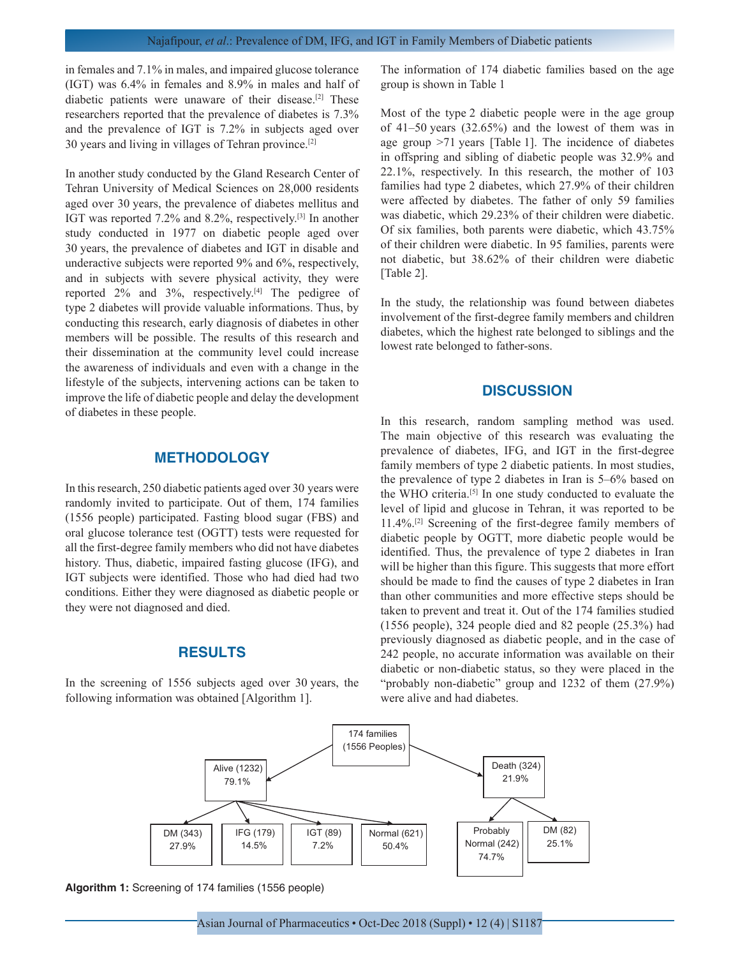in females and 7.1% in males, and impaired glucose tolerance (IGT) was 6.4% in females and 8.9% in males and half of diabetic patients were unaware of their disease.<sup>[2]</sup> These researchers reported that the prevalence of diabetes is 7.3% and the prevalence of IGT is 7.2% in subjects aged over 30 years and living in villages of Tehran province.[2]

In another study conducted by the Gland Research Center of Tehran University of Medical Sciences on 28,000 residents aged over 30 years, the prevalence of diabetes mellitus and IGT was reported 7.2% and 8.2%, respectively.[3] In another study conducted in 1977 on diabetic people aged over 30 years, the prevalence of diabetes and IGT in disable and underactive subjects were reported 9% and 6%, respectively, and in subjects with severe physical activity, they were reported  $2\%$  and  $3\%$ , respectively.<sup>[4]</sup> The pedigree of type 2 diabetes will provide valuable informations. Thus, by conducting this research, early diagnosis of diabetes in other members will be possible. The results of this research and their dissemination at the community level could increase the awareness of individuals and even with a change in the lifestyle of the subjects, intervening actions can be taken to improve the life of diabetic people and delay the development of diabetes in these people.

### **METHODOLOGY**

In this research, 250 diabetic patients aged over 30 years were randomly invited to participate. Out of them, 174 families (1556 people) participated. Fasting blood sugar (FBS) and oral glucose tolerance test (OGTT) tests were requested for all the first-degree family members who did not have diabetes history. Thus, diabetic, impaired fasting glucose (IFG), and IGT subjects were identified. Those who had died had two conditions. Either they were diagnosed as diabetic people or they were not diagnosed and died.

## **RESULTS**

In the screening of 1556 subjects aged over 30 years, the following information was obtained [Algorithm 1].

The information of 174 diabetic families based on the age group is shown in Table 1

Most of the type 2 diabetic people were in the age group of 41–50 years (32.65%) and the lowest of them was in age group >71 years [Table 1]. The incidence of diabetes in offspring and sibling of diabetic people was 32.9% and 22.1%, respectively. In this research, the mother of 103 families had type 2 diabetes, which 27.9% of their children were affected by diabetes. The father of only 59 families was diabetic, which 29.23% of their children were diabetic. Of six families, both parents were diabetic, which 43.75% of their children were diabetic. In 95 families, parents were not diabetic, but 38.62% of their children were diabetic [Table 2].

In the study, the relationship was found between diabetes involvement of the first-degree family members and children diabetes, which the highest rate belonged to siblings and the lowest rate belonged to father-sons.

#### **DISCUSSION**

In this research, random sampling method was used. The main objective of this research was evaluating the prevalence of diabetes, IFG, and IGT in the first-degree family members of type 2 diabetic patients. In most studies, the prevalence of type 2 diabetes in Iran is 5–6% based on the WHO criteria.[5] In one study conducted to evaluate the level of lipid and glucose in Tehran, it was reported to be 11.4%.[2] Screening of the first-degree family members of diabetic people by OGTT, more diabetic people would be identified. Thus, the prevalence of type 2 diabetes in Iran will be higher than this figure. This suggests that more effort should be made to find the causes of type 2 diabetes in Iran than other communities and more effective steps should be taken to prevent and treat it. Out of the 174 families studied (1556 people), 324 people died and 82 people (25.3%) had previously diagnosed as diabetic people, and in the case of 242 people, no accurate information was available on their diabetic or non-diabetic status, so they were placed in the "probably non-diabetic" group and 1232 of them (27.9%) were alive and had diabetes.



**Algorithm 1:** Screening of 174 families (1556 people)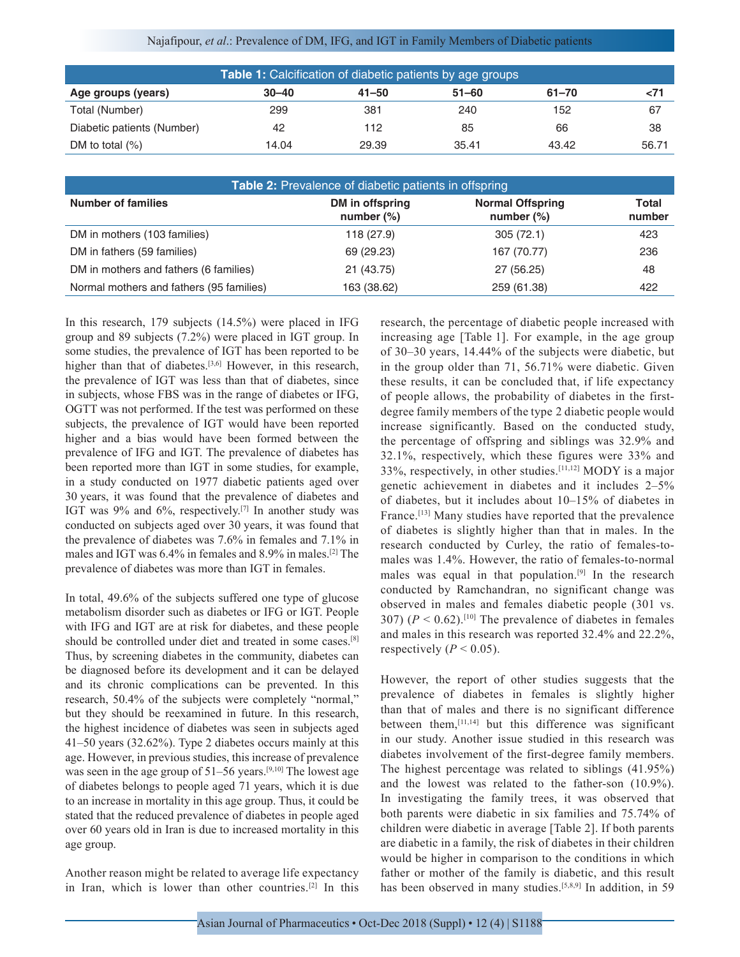| Najafipour, et al.: Prevalence of DM, IFG, and IGT in Family Members of Diabetic patients |  |  |  |
|-------------------------------------------------------------------------------------------|--|--|--|
|-------------------------------------------------------------------------------------------|--|--|--|

| Table 1: Calcification of diabetic patients by age groups |       |           |           |           |       |
|-----------------------------------------------------------|-------|-----------|-----------|-----------|-------|
| Age groups (years)                                        | 30–40 | $41 - 50$ | $51 - 60$ | $61 - 70$ | -71   |
| Total (Number)                                            | 299   | 381       | 240       | 152       | 67    |
| Diabetic patients (Number)                                | 42    | 112       | 85        | 66        | 38    |
| DM to total $(\%)$                                        | 14.04 | 29.39     | 35.41     | 43.42     | 56.71 |

| Table 2: Prevalence of diabetic patients in offspring |                                  |                                          |                 |  |  |
|-------------------------------------------------------|----------------------------------|------------------------------------------|-----------------|--|--|
| <b>Number of families</b>                             | DM in offspring<br>number $(\%)$ | <b>Normal Offspring</b><br>number $(\%)$ | Total<br>number |  |  |
| DM in mothers (103 families)                          | 118 (27.9)                       | 305(72.1)                                | 423             |  |  |
| DM in fathers (59 families)                           | 69 (29.23)                       | 167 (70.77)                              | 236             |  |  |
| DM in mothers and fathers (6 families)                | 21 (43.75)                       | 27 (56.25)                               | 48              |  |  |
| Normal mothers and fathers (95 families)              | 163 (38.62)                      | 259 (61.38)                              | 422             |  |  |

In this research, 179 subjects (14.5%) were placed in IFG group and 89 subjects (7.2%) were placed in IGT group. In some studies, the prevalence of IGT has been reported to be higher than that of diabetes.<sup>[3,6]</sup> However, in this research, the prevalence of IGT was less than that of diabetes, since in subjects, whose FBS was in the range of diabetes or IFG, OGTT was not performed. If the test was performed on these subjects, the prevalence of IGT would have been reported higher and a bias would have been formed between the prevalence of IFG and IGT. The prevalence of diabetes has been reported more than IGT in some studies, for example, in a study conducted on 1977 diabetic patients aged over 30 years, it was found that the prevalence of diabetes and IGT was 9% and 6%, respectively.[7] In another study was conducted on subjects aged over 30 years, it was found that the prevalence of diabetes was 7.6% in females and 7.1% in males and IGT was 6.4% in females and 8.9% in males.[2] The prevalence of diabetes was more than IGT in females.

In total, 49.6% of the subjects suffered one type of glucose metabolism disorder such as diabetes or IFG or IGT. People with IFG and IGT are at risk for diabetes, and these people should be controlled under diet and treated in some cases.[8] Thus, by screening diabetes in the community, diabetes can be diagnosed before its development and it can be delayed and its chronic complications can be prevented. In this research, 50.4% of the subjects were completely "normal," but they should be reexamined in future. In this research, the highest incidence of diabetes was seen in subjects aged 41–50 years (32.62%). Type 2 diabetes occurs mainly at this age. However, in previous studies, this increase of prevalence was seen in the age group of  $51-56$  years.<sup>[9,10]</sup> The lowest age of diabetes belongs to people aged 71 years, which it is due to an increase in mortality in this age group. Thus, it could be stated that the reduced prevalence of diabetes in people aged over 60 years old in Iran is due to increased mortality in this age group.

Another reason might be related to average life expectancy in Iran, which is lower than other countries.[2] In this research, the percentage of diabetic people increased with increasing age [Table 1]. For example, in the age group of 30–30 years, 14.44% of the subjects were diabetic, but in the group older than 71, 56.71% were diabetic. Given these results, it can be concluded that, if life expectancy of people allows, the probability of diabetes in the firstdegree family members of the type 2 diabetic people would increase significantly. Based on the conducted study, the percentage of offspring and siblings was 32.9% and 32.1%, respectively, which these figures were 33% and 33%, respectively, in other studies.<sup>[11,12]</sup> MODY is a major genetic achievement in diabetes and it includes 2–5% of diabetes, but it includes about 10–15% of diabetes in France.<sup>[13]</sup> Many studies have reported that the prevalence of diabetes is slightly higher than that in males. In the research conducted by Curley, the ratio of females-tomales was 1.4%. However, the ratio of females-to-normal males was equal in that population.[9] In the research conducted by Ramchandran, no significant change was observed in males and females diabetic people (301 vs. 307) ( $P < 0.62$ ).<sup>[10]</sup> The prevalence of diabetes in females and males in this research was reported 32.4% and 22.2%, respectively ( $P < 0.05$ ).

However, the report of other studies suggests that the prevalence of diabetes in females is slightly higher than that of males and there is no significant difference between them,[11,14] but this difference was significant in our study. Another issue studied in this research was diabetes involvement of the first-degree family members. The highest percentage was related to siblings (41.95%) and the lowest was related to the father-son (10.9%). In investigating the family trees, it was observed that both parents were diabetic in six families and 75.74% of children were diabetic in average [Table 2]. If both parents are diabetic in a family, the risk of diabetes in their children would be higher in comparison to the conditions in which father or mother of the family is diabetic, and this result has been observed in many studies.<sup>[5,8,9]</sup> In addition, in 59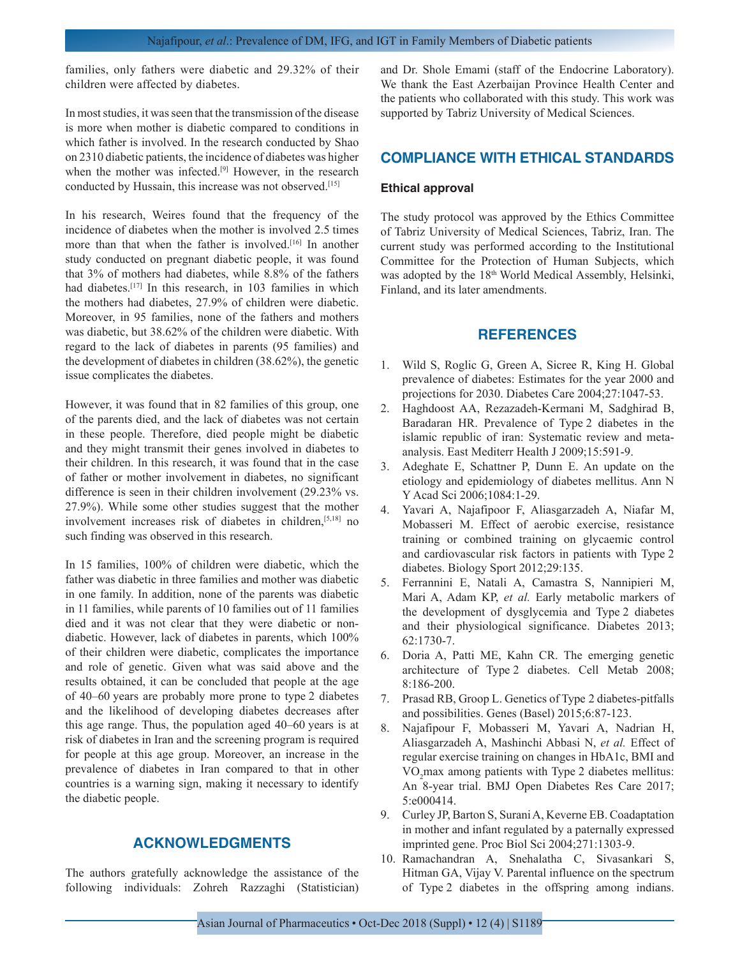families, only fathers were diabetic and 29.32% of their children were affected by diabetes.

In most studies, it was seen that the transmission of the disease is more when mother is diabetic compared to conditions in which father is involved. In the research conducted by Shao on 2310 diabetic patients, the incidence of diabetes was higher when the mother was infected.<sup>[9]</sup> However, in the research conducted by Hussain, this increase was not observed.[15]

In his research, Weires found that the frequency of the incidence of diabetes when the mother is involved 2.5 times more than that when the father is involved.<sup>[16]</sup> In another study conducted on pregnant diabetic people, it was found that 3% of mothers had diabetes, while 8.8% of the fathers had diabetes.<sup>[17]</sup> In this research, in 103 families in which the mothers had diabetes, 27.9% of children were diabetic. Moreover, in 95 families, none of the fathers and mothers was diabetic, but 38.62% of the children were diabetic. With regard to the lack of diabetes in parents (95 families) and the development of diabetes in children (38.62%), the genetic issue complicates the diabetes.

However, it was found that in 82 families of this group, one of the parents died, and the lack of diabetes was not certain in these people. Therefore, died people might be diabetic and they might transmit their genes involved in diabetes to their children. In this research, it was found that in the case of father or mother involvement in diabetes, no significant difference is seen in their children involvement (29.23% vs. 27.9%). While some other studies suggest that the mother involvement increases risk of diabetes in children,[5,18] no such finding was observed in this research.

In 15 families, 100% of children were diabetic, which the father was diabetic in three families and mother was diabetic in one family. In addition, none of the parents was diabetic in 11 families, while parents of 10 families out of 11 families died and it was not clear that they were diabetic or nondiabetic. However, lack of diabetes in parents, which 100% of their children were diabetic, complicates the importance and role of genetic. Given what was said above and the results obtained, it can be concluded that people at the age of 40–60 years are probably more prone to type 2 diabetes and the likelihood of developing diabetes decreases after this age range. Thus, the population aged 40–60 years is at risk of diabetes in Iran and the screening program is required for people at this age group. Moreover, an increase in the prevalence of diabetes in Iran compared to that in other countries is a warning sign, making it necessary to identify the diabetic people.

## **ACKNOWLEDGMENTS**

The authors gratefully acknowledge the assistance of the following individuals: Zohreh Razzaghi (Statistician) and Dr. Shole Emami (staff of the Endocrine Laboratory). We thank the East Azerbaijan Province Health Center and the patients who collaborated with this study. This work was supported by Tabriz University of Medical Sciences.

### **COMPLIANCE WITH ETHICAL STANDARDS**

#### **Ethical approval**

The study protocol was approved by the Ethics Committee of Tabriz University of Medical Sciences, Tabriz, Iran. The current study was performed according to the Institutional Committee for the Protection of Human Subjects, which was adopted by the 18th World Medical Assembly, Helsinki, Finland, and its later amendments.

#### **REFERENCES**

- 1. Wild S, Roglic G, Green A, Sicree R, King H. Global prevalence of diabetes: Estimates for the year 2000 and projections for 2030. Diabetes Care 2004;27:1047-53.
- 2. Haghdoost AA, Rezazadeh-Kermani M, Sadghirad B, Baradaran HR. Prevalence of Type 2 diabetes in the islamic republic of iran: Systematic review and metaanalysis. East Mediterr Health J 2009;15:591-9.
- 3. Adeghate E, Schattner P, Dunn E. An update on the etiology and epidemiology of diabetes mellitus. Ann N Y Acad Sci 2006;1084:1-29.
- 4. Yavari A, Najafipoor F, Aliasgarzadeh A, Niafar M, Mobasseri M. Effect of aerobic exercise, resistance training or combined training on glycaemic control and cardiovascular risk factors in patients with Type 2 diabetes. Biology Sport 2012;29:135.
- 5. Ferrannini E, Natali A, Camastra S, Nannipieri M, Mari A, Adam KP, *et al.* Early metabolic markers of the development of dysglycemia and Type 2 diabetes and their physiological significance. Diabetes 2013; 62:1730-7.
- 6. Doria A, Patti ME, Kahn CR. The emerging genetic architecture of Type 2 diabetes. Cell Metab 2008; 8:186-200.
- 7. Prasad RB, Groop L. Genetics of Type 2 diabetes-pitfalls and possibilities. Genes (Basel) 2015;6:87-123.
- 8. Najafipour F, Mobasseri M, Yavari A, Nadrian H, Aliasgarzadeh A, Mashinchi Abbasi N, *et al.* Effect of regular exercise training on changes in HbA1c, BMI and VO<sub>2</sub> max among patients with Type 2 diabetes mellitus: An 8-year trial. BMJ Open Diabetes Res Care 2017; 5:e000414.
- 9. Curley JP, Barton S, Surani A, Keverne EB. Coadaptation in mother and infant regulated by a paternally expressed imprinted gene. Proc Biol Sci 2004;271:1303-9.
- 10. Ramachandran A, Snehalatha C, Sivasankari S, Hitman GA, Vijay V. Parental influence on the spectrum of Type 2 diabetes in the offspring among indians.